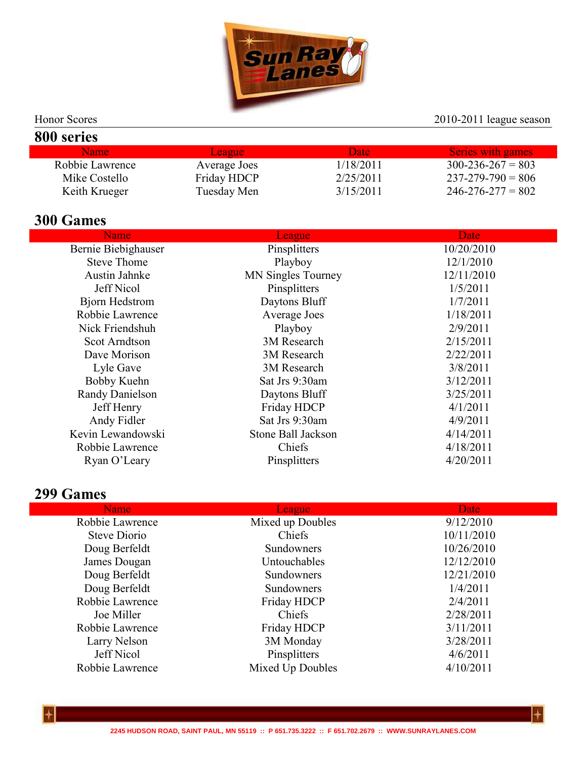

#### Honor Scores 2010-2011 league season

| 800 series      |               |           |                         |
|-----------------|---------------|-----------|-------------------------|
| <b>Name</b>     | <b>League</b> | Date      | Series with games       |
| Robbie Lawrence | Average Joes  | 1/18/2011 | $300 - 236 - 267 = 803$ |
| Mike Costello   | Friday HDCP   | 2/25/2011 | $237 - 279 - 790 = 806$ |
| Keith Krueger   | Tuesday Men   | 3/15/2011 | $246 - 276 - 277 = 802$ |

## **300 Games**

| Name                   | League                    | Date       |
|------------------------|---------------------------|------------|
| Bernie Biebighauser    | Pinsplitters              | 10/20/2010 |
| <b>Steve Thome</b>     | Playboy                   | 12/1/2010  |
| Austin Jahnke          | <b>MN Singles Tourney</b> | 12/11/2010 |
| Jeff Nicol             | Pinsplitters              | 1/5/2011   |
| <b>Bjorn Hedstrom</b>  | Daytons Bluff             | 1/7/2011   |
| Robbie Lawrence        | Average Joes              | 1/18/2011  |
| Nick Friendshuh        | Playboy                   | 2/9/2011   |
| <b>Scot Arndtson</b>   | 3M Research               | 2/15/2011  |
| Dave Morison           | 3M Research               | 2/22/2011  |
| Lyle Gave              | 3M Research               | 3/8/2011   |
| Bobby Kuehn            | Sat Jrs 9:30am            | 3/12/2011  |
| <b>Randy Danielson</b> | Daytons Bluff             | 3/25/2011  |
| Jeff Henry             | Friday HDCP               | 4/1/2011   |
| Andy Fidler            | Sat Jrs 9:30am            | 4/9/2011   |
| Kevin Lewandowski      | Stone Ball Jackson        | 4/14/2011  |
| Robbie Lawrence        | Chiefs                    | 4/18/2011  |
| Ryan O'Leary           | Pinsplitters              | 4/20/2011  |
|                        |                           |            |

### **299 Games**

| <b>Name</b>     | League           | Date <sub>1</sub> |  |
|-----------------|------------------|-------------------|--|
| Robbie Lawrence | Mixed up Doubles | 9/12/2010         |  |
| Steve Diorio    | Chiefs           | 10/11/2010        |  |
| Doug Berfeldt   | Sundowners       | 10/26/2010        |  |
| James Dougan    | Untouchables     | 12/12/2010        |  |
| Doug Berfeldt   | Sundowners       | 12/21/2010        |  |
| Doug Berfeldt   | Sundowners       | 1/4/2011          |  |
| Robbie Lawrence | Friday HDCP      | 2/4/2011          |  |
| Joe Miller      | Chiefs           | 2/28/2011         |  |
| Robbie Lawrence | Friday HDCP      | 3/11/2011         |  |
| Larry Nelson    | 3M Monday        | 3/28/2011         |  |
| Jeff Nicol      | Pinsplitters     | 4/6/2011          |  |
| Robbie Lawrence | Mixed Up Doubles | 4/10/2011         |  |
|                 |                  |                   |  |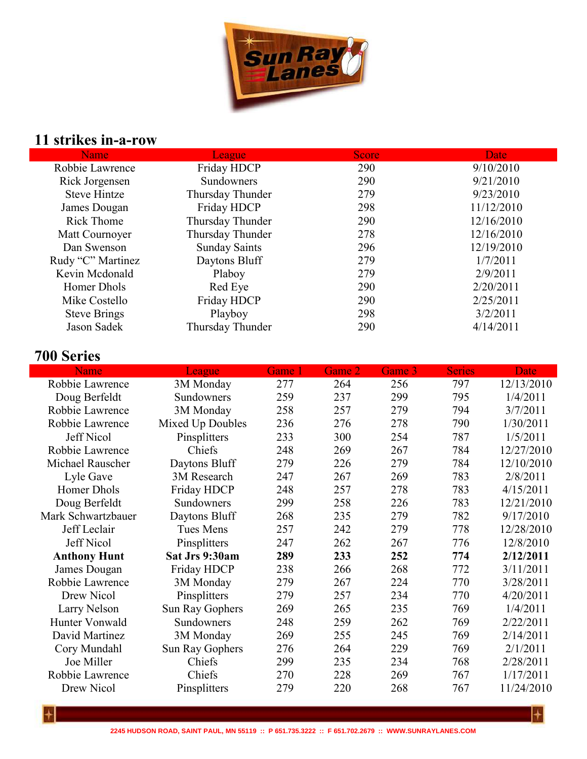

# **11 strikes in-a-row**

| Name                | <b>League</b>        | <b>Score</b> | <b>Date</b> |
|---------------------|----------------------|--------------|-------------|
| Robbie Lawrence     | Friday HDCP          | 290          | 9/10/2010   |
| Rick Jorgensen      | Sundowners           | 290          | 9/21/2010   |
| <b>Steve Hintze</b> | Thursday Thunder     | 279          | 9/23/2010   |
| James Dougan        | Friday HDCP          | 298          | 11/12/2010  |
| <b>Rick Thome</b>   | Thursday Thunder     | 290          | 12/16/2010  |
| Matt Cournoyer      | Thursday Thunder     | 278          | 12/16/2010  |
| Dan Swenson         | <b>Sunday Saints</b> | 296          | 12/19/2010  |
| Rudy "C" Martinez   | Daytons Bluff        | 279          | 1/7/2011    |
| Kevin Mcdonald      | Plaboy               | 279          | 2/9/2011    |
| Homer Dhols         | Red Eye              | 290          | 2/20/2011   |
| Mike Costello       | Friday HDCP          | 290          | 2/25/2011   |
| <b>Steve Brings</b> | Playboy              | 298          | 3/2/2011    |
| Jason Sadek         | Thursday Thunder     | 290          | 4/14/2011   |
|                     |                      |              |             |

## **700 Series**

| <b>Name</b>         | League           | Game 1 | Game 2 | Game 3 | <b>Series</b> | <b>Date</b> |
|---------------------|------------------|--------|--------|--------|---------------|-------------|
| Robbie Lawrence     | 3M Monday        | 277    | 264    | 256    | 797           | 12/13/2010  |
| Doug Berfeldt       | Sundowners       | 259    | 237    | 299    | 795           | 1/4/2011    |
| Robbie Lawrence     | 3M Monday        | 258    | 257    | 279    | 794           | 3/7/2011    |
| Robbie Lawrence     | Mixed Up Doubles | 236    | 276    | 278    | 790           | 1/30/2011   |
| <b>Jeff Nicol</b>   | Pinsplitters     | 233    | 300    | 254    | 787           | 1/5/2011    |
| Robbie Lawrence     | Chiefs           | 248    | 269    | 267    | 784           | 12/27/2010  |
| Michael Rauscher    | Daytons Bluff    | 279    | 226    | 279    | 784           | 12/10/2010  |
| Lyle Gave           | 3M Research      | 247    | 267    | 269    | 783           | 2/8/2011    |
| Homer Dhols         | Friday HDCP      | 248    | 257    | 278    | 783           | 4/15/2011   |
| Doug Berfeldt       | Sundowners       | 299    | 258    | 226    | 783           | 12/21/2010  |
| Mark Schwartzbauer  | Daytons Bluff    | 268    | 235    | 279    | 782           | 9/17/2010   |
| Jeff Leclair        | <b>Tues Mens</b> | 257    | 242    | 279    | 778           | 12/28/2010  |
| Jeff Nicol          | Pinsplitters     | 247    | 262    | 267    | 776           | 12/8/2010   |
| <b>Anthony Hunt</b> | Sat Jrs 9:30am   | 289    | 233    | 252    | 774           | 2/12/2011   |
| James Dougan        | Friday HDCP      | 238    | 266    | 268    | 772           | 3/11/2011   |
| Robbie Lawrence     | 3M Monday        | 279    | 267    | 224    | 770           | 3/28/2011   |
| Drew Nicol          | Pinsplitters     | 279    | 257    | 234    | 770           | 4/20/2011   |
| Larry Nelson        | Sun Ray Gophers  | 269    | 265    | 235    | 769           | 1/4/2011    |
| Hunter Vonwald      | Sundowners       | 248    | 259    | 262    | 769           | 2/22/2011   |
| David Martinez      | 3M Monday        | 269    | 255    | 245    | 769           | 2/14/2011   |
| Cory Mundahl        | Sun Ray Gophers  | 276    | 264    | 229    | 769           | 2/1/2011    |
| Joe Miller          | Chiefs           | 299    | 235    | 234    | 768           | 2/28/2011   |
| Robbie Lawrence     | Chiefs           | 270    | 228    | 269    | 767           | 1/17/2011   |
| Drew Nicol          | Pinsplitters     | 279    | 220    | 268    | 767           | 11/24/2010  |
|                     |                  |        |        |        |               |             |

 $\left| + \right|$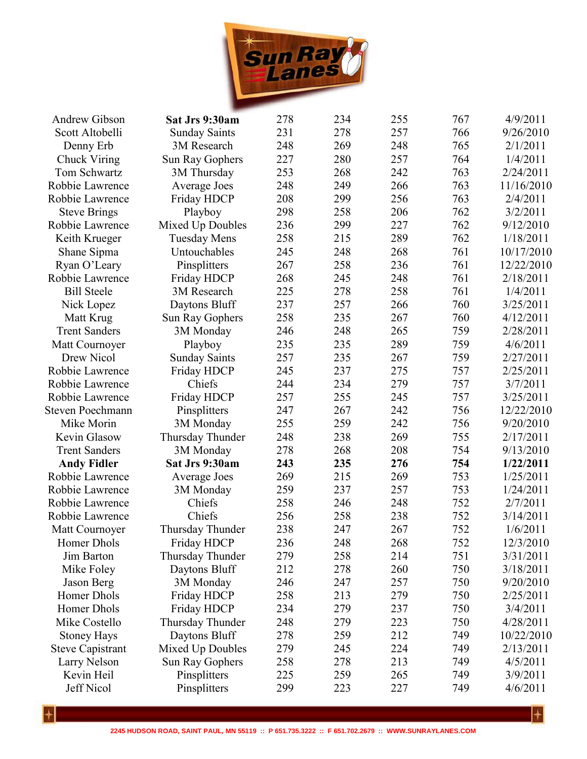

| <b>Andrew Gibson</b>    | Sat Jrs 9:30am       | 278 | 234 | 255 | 767 | 4/9/2011   |
|-------------------------|----------------------|-----|-----|-----|-----|------------|
| Scott Altobelli         | <b>Sunday Saints</b> | 231 | 278 | 257 | 766 | 9/26/2010  |
| Denny Erb               | 3M Research          | 248 | 269 | 248 | 765 | 2/1/2011   |
| Chuck Viring            | Sun Ray Gophers      | 227 | 280 | 257 | 764 | 1/4/2011   |
| Tom Schwartz            | 3M Thursday          | 253 | 268 | 242 | 763 | 2/24/2011  |
| Robbie Lawrence         | Average Joes         | 248 | 249 | 266 | 763 | 11/16/2010 |
| Robbie Lawrence         | Friday HDCP          | 208 | 299 | 256 | 763 | 2/4/2011   |
| <b>Steve Brings</b>     | Playboy              | 298 | 258 | 206 | 762 | 3/2/2011   |
| Robbie Lawrence         | Mixed Up Doubles     | 236 | 299 | 227 | 762 | 9/12/2010  |
| Keith Krueger           | <b>Tuesday Mens</b>  | 258 | 215 | 289 | 762 | 1/18/2011  |
| Shane Sipma             | Untouchables         | 245 | 248 | 268 | 761 | 10/17/2010 |
| Ryan O'Leary            | Pinsplitters         | 267 | 258 | 236 | 761 | 12/22/2010 |
| Robbie Lawrence         | Friday HDCP          | 268 | 245 | 248 | 761 | 2/18/2011  |
| <b>Bill Steele</b>      | 3M Research          | 225 | 278 | 258 | 761 | 1/4/2011   |
| Nick Lopez              | Daytons Bluff        | 237 | 257 | 266 | 760 | 3/25/2011  |
| Matt Krug               | Sun Ray Gophers      | 258 | 235 | 267 | 760 | 4/12/2011  |
| <b>Trent Sanders</b>    | 3M Monday            | 246 | 248 | 265 | 759 | 2/28/2011  |
| Matt Cournoyer          | Playboy              | 235 | 235 | 289 | 759 | 4/6/2011   |
| Drew Nicol              | <b>Sunday Saints</b> | 257 | 235 | 267 | 759 | 2/27/2011  |
| Robbie Lawrence         | Friday HDCP          | 245 | 237 | 275 | 757 | 2/25/2011  |
| Robbie Lawrence         | Chiefs               | 244 | 234 | 279 | 757 | 3/7/2011   |
| Robbie Lawrence         | Friday HDCP          | 257 | 255 | 245 | 757 | 3/25/2011  |
| <b>Steven Poechmann</b> | Pinsplitters         | 247 | 267 | 242 | 756 | 12/22/2010 |
| Mike Morin              | 3M Monday            | 255 | 259 | 242 | 756 | 9/20/2010  |
| Kevin Glasow            | Thursday Thunder     | 248 | 238 | 269 | 755 | 2/17/2011  |
| <b>Trent Sanders</b>    | 3M Monday            | 278 | 268 | 208 | 754 | 9/13/2010  |
| <b>Andy Fidler</b>      | Sat Jrs 9:30am       | 243 | 235 | 276 | 754 | 1/22/2011  |
| Robbie Lawrence         | Average Joes         | 269 | 215 | 269 | 753 | 1/25/2011  |
| Robbie Lawrence         | 3M Monday            | 259 | 237 | 257 | 753 | 1/24/2011  |
| Robbie Lawrence         | Chiefs               | 258 | 246 | 248 | 752 | 2/7/2011   |
| Robbie Lawrence         | Chiefs               | 256 | 258 | 238 | 752 | 3/14/2011  |
| Matt Cournoyer          | Thursday Thunder     | 238 | 247 | 267 | 752 | 1/6/2011   |
| Homer Dhols             | Friday HDCP          | 236 | 248 | 268 | 752 | 12/3/2010  |
| Jim Barton              | Thursday Thunder     | 279 | 258 | 214 | 751 | 3/31/2011  |
| Mike Foley              | Daytons Bluff        | 212 | 278 | 260 | 750 | 3/18/2011  |
| Jason Berg              | 3M Monday            | 246 | 247 | 257 | 750 | 9/20/2010  |
| Homer Dhols             | Friday HDCP          | 258 | 213 | 279 | 750 | 2/25/2011  |
| Homer Dhols             | Friday HDCP          | 234 | 279 | 237 | 750 | 3/4/2011   |
| Mike Costello           | Thursday Thunder     | 248 | 279 | 223 | 750 | 4/28/2011  |
| <b>Stoney Hays</b>      | Daytons Bluff        | 278 | 259 | 212 | 749 | 10/22/2010 |
| <b>Steve Capistrant</b> | Mixed Up Doubles     | 279 | 245 | 224 | 749 | 2/13/2011  |
| Larry Nelson            | Sun Ray Gophers      | 258 | 278 | 213 | 749 | 4/5/2011   |
| Kevin Heil              | Pinsplitters         | 225 | 259 | 265 | 749 | 3/9/2011   |
| Jeff Nicol              | Pinsplitters         | 299 | 223 | 227 | 749 | 4/6/2011   |
|                         |                      |     |     |     |     |            |

 $\overline{+}$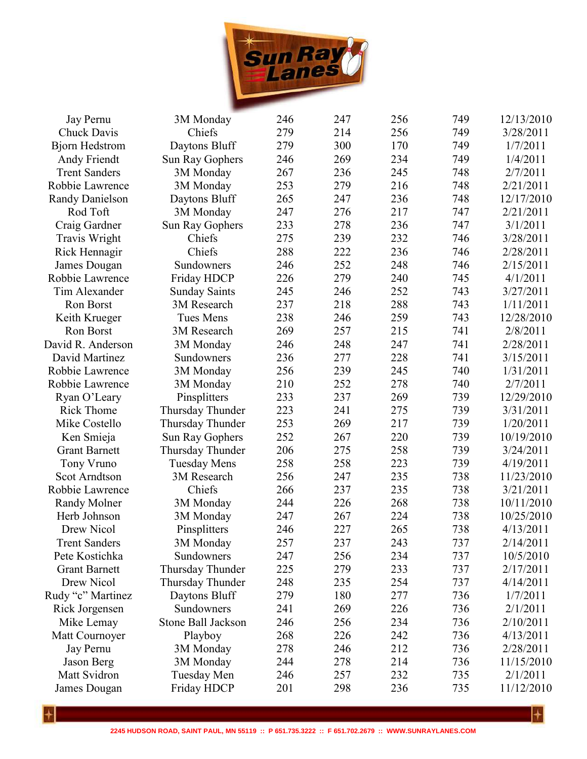

| Jay Pernu              | 3M Monday                 | 246 | 247 | 256 | 749 | 12/13/2010 |
|------------------------|---------------------------|-----|-----|-----|-----|------------|
| Chuck Davis            | Chiefs                    | 279 | 214 | 256 | 749 | 3/28/2011  |
| <b>Bjorn Hedstrom</b>  | Daytons Bluff             | 279 | 300 | 170 | 749 | 1/7/2011   |
| Andy Friendt           | Sun Ray Gophers           | 246 | 269 | 234 | 749 | 1/4/2011   |
| <b>Trent Sanders</b>   | 3M Monday                 | 267 | 236 | 245 | 748 | 2/7/2011   |
| Robbie Lawrence        | 3M Monday                 | 253 | 279 | 216 | 748 | 2/21/2011  |
| <b>Randy Danielson</b> | Daytons Bluff             | 265 | 247 | 236 | 748 | 12/17/2010 |
| Rod Toft               | 3M Monday                 | 247 | 276 | 217 | 747 | 2/21/2011  |
| Craig Gardner          | Sun Ray Gophers           | 233 | 278 | 236 | 747 | 3/1/2011   |
| Travis Wright          | Chiefs                    | 275 | 239 | 232 | 746 | 3/28/2011  |
| Rick Hennagir          | Chiefs                    | 288 | 222 | 236 | 746 | 2/28/2011  |
| James Dougan           | Sundowners                | 246 | 252 | 248 | 746 | 2/15/2011  |
| Robbie Lawrence        | Friday HDCP               | 226 | 279 | 240 | 745 | 4/1/2011   |
| Tim Alexander          | <b>Sunday Saints</b>      | 245 | 246 | 252 | 743 | 3/27/2011  |
| Ron Borst              | 3M Research               | 237 | 218 | 288 | 743 | 1/11/2011  |
| Keith Krueger          | Tues Mens                 | 238 | 246 | 259 | 743 | 12/28/2010 |
| Ron Borst              | 3M Research               | 269 | 257 | 215 | 741 | 2/8/2011   |
| David R. Anderson      | 3M Monday                 | 246 | 248 | 247 | 741 | 2/28/2011  |
| David Martinez         | Sundowners                | 236 | 277 | 228 | 741 | 3/15/2011  |
| Robbie Lawrence        | 3M Monday                 | 256 | 239 | 245 | 740 | 1/31/2011  |
| Robbie Lawrence        | 3M Monday                 | 210 | 252 | 278 | 740 | 2/7/2011   |
| Ryan O'Leary           | Pinsplitters              | 233 | 237 | 269 | 739 | 12/29/2010 |
| <b>Rick Thome</b>      | Thursday Thunder          | 223 | 241 | 275 | 739 | 3/31/2011  |
| Mike Costello          | Thursday Thunder          | 253 | 269 | 217 | 739 | 1/20/2011  |
| Ken Smieja             | Sun Ray Gophers           | 252 | 267 | 220 | 739 | 10/19/2010 |
| <b>Grant Barnett</b>   | Thursday Thunder          | 206 | 275 | 258 | 739 | 3/24/2011  |
| Tony Vruno             | <b>Tuesday Mens</b>       | 258 | 258 | 223 | 739 | 4/19/2011  |
| <b>Scot Arndtson</b>   | 3M Research               | 256 | 247 | 235 | 738 | 11/23/2010 |
| Robbie Lawrence        | Chiefs                    | 266 | 237 | 235 | 738 | 3/21/2011  |
| Randy Molner           | 3M Monday                 | 244 | 226 | 268 | 738 | 10/11/2010 |
| Herb Johnson           | 3M Monday                 | 247 | 267 | 224 | 738 | 10/25/2010 |
| Drew Nicol             | Pinsplitters              | 246 | 227 | 265 | 738 | 4/13/2011  |
| <b>Trent Sanders</b>   | 3M Monday                 | 257 | 237 | 243 | 737 | 2/14/2011  |
| Pete Kostichka         | Sundowners                | 247 | 256 | 234 | 737 | 10/5/2010  |
| <b>Grant Barnett</b>   | Thursday Thunder          | 225 | 279 | 233 | 737 | 2/17/2011  |
| Drew Nicol             | Thursday Thunder          | 248 | 235 | 254 | 737 | 4/14/2011  |
| Rudy "c" Martinez      | Daytons Bluff             | 279 | 180 | 277 | 736 | 1/7/2011   |
| Rick Jorgensen         | Sundowners                | 241 | 269 | 226 | 736 | 2/1/2011   |
| Mike Lemay             | <b>Stone Ball Jackson</b> | 246 | 256 | 234 | 736 | 2/10/2011  |
| Matt Cournoyer         | Playboy                   | 268 | 226 | 242 | 736 | 4/13/2011  |
| Jay Pernu              | 3M Monday                 | 278 | 246 | 212 | 736 | 2/28/2011  |
| Jason Berg             | 3M Monday                 | 244 | 278 | 214 | 736 | 11/15/2010 |
| Matt Svidron           | Tuesday Men               | 246 | 257 | 232 | 735 | 2/1/2011   |
| James Dougan           | Friday HDCP               | 201 | 298 | 236 | 735 | 11/12/2010 |
|                        |                           |     |     |     |     |            |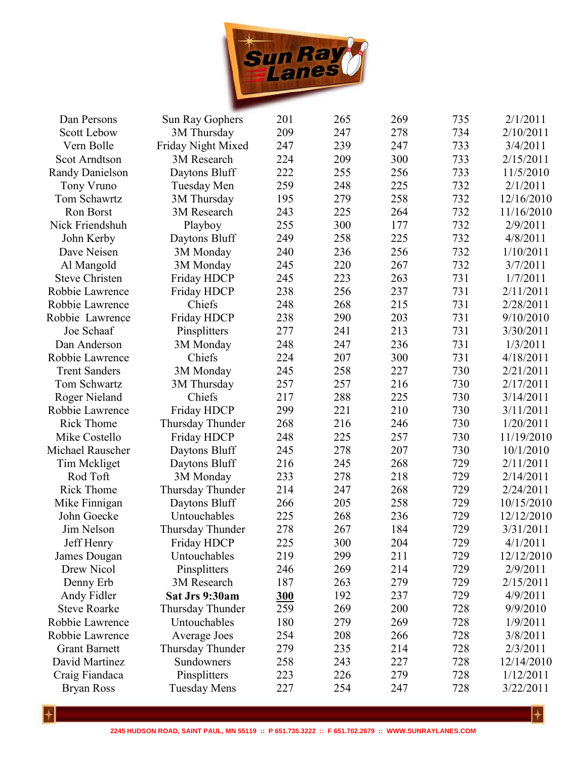

| Dan Persons            | Sun Ray Gophers     | 201 | 265 | 269 | 735 | 2/1/2011   |
|------------------------|---------------------|-----|-----|-----|-----|------------|
| <b>Scott Lebow</b>     | 3M Thursday         | 209 | 247 | 278 | 734 | 2/10/2011  |
| Vern Bolle             | Friday Night Mixed  | 247 | 239 | 247 | 733 | 3/4/2011   |
| <b>Scot Arndtson</b>   | 3M Research         | 224 | 209 | 300 | 733 | 2/15/2011  |
| <b>Randy Danielson</b> | Daytons Bluff       | 222 | 255 | 256 | 733 | 11/5/2010  |
| Tony Vruno             | Tuesday Men         | 259 | 248 | 225 | 732 | 2/1/2011   |
| Tom Schawrtz           | 3M Thursday         | 195 | 279 | 258 | 732 | 12/16/2010 |
| Ron Borst              | 3M Research         | 243 | 225 | 264 | 732 | 11/16/2010 |
| Nick Friendshuh        | Playboy             | 255 | 300 | 177 | 732 | 2/9/2011   |
| John Kerby             | Daytons Bluff       | 249 | 258 | 225 | 732 | 4/8/2011   |
| Dave Neisen            | 3M Monday           | 240 | 236 | 256 | 732 | 1/10/2011  |
| Al Mangold             | 3M Monday           | 245 | 220 | 267 | 732 | 3/7/2011   |
| <b>Steve Christen</b>  | Friday HDCP         | 245 | 223 | 263 | 731 | 1/7/2011   |
| Robbie Lawrence        | Friday HDCP         | 238 | 256 | 237 | 731 | 2/11/2011  |
| Robbie Lawrence        | Chiefs              | 248 | 268 | 215 | 731 | 2/28/2011  |
| Robbie Lawrence        | Friday HDCP         | 238 | 290 | 203 | 731 | 9/10/2010  |
| Joe Schaaf             | Pinsplitters        | 277 | 241 | 213 | 731 | 3/30/2011  |
| Dan Anderson           | 3M Monday           | 248 | 247 | 236 | 731 | 1/3/2011   |
| Robbie Lawrence        | Chiefs              | 224 | 207 | 300 | 731 | 4/18/2011  |
| <b>Trent Sanders</b>   | 3M Monday           | 245 | 258 | 227 | 730 | 2/21/2011  |
| Tom Schwartz           | 3M Thursday         | 257 | 257 | 216 | 730 | 2/17/2011  |
| Roger Nieland          | Chiefs              | 217 | 288 | 225 | 730 | 3/14/2011  |
| Robbie Lawrence        | Friday HDCP         | 299 | 221 | 210 | 730 | 3/11/2011  |
| <b>Rick Thome</b>      | Thursday Thunder    | 268 | 216 | 246 | 730 | 1/20/2011  |
| Mike Costello          | Friday HDCP         | 248 | 225 | 257 | 730 | 11/19/2010 |
| Michael Rauscher       | Daytons Bluff       | 245 | 278 | 207 | 730 | 10/1/2010  |
| Tim Mckliget           | Daytons Bluff       | 216 | 245 | 268 | 729 | 2/11/2011  |
| Rod Toft               | 3M Monday           | 233 | 278 | 218 | 729 | 2/14/2011  |
| <b>Rick Thome</b>      | Thursday Thunder    | 214 | 247 | 268 | 729 | 2/24/2011  |
| Mike Finnigan          | Daytons Bluff       | 266 | 205 | 258 | 729 | 10/15/2010 |
| John Goecke            | Untouchables        | 225 | 268 | 236 | 729 | 12/12/2010 |
| Jim Nelson             | Thursday Thunder    | 278 | 267 | 184 | 729 | 3/31/2011  |
| Jeff Henry             | Friday HDCP         | 225 | 300 | 204 | 729 | 4/1/2011   |
| James Dougan           | Untouchables        | 219 | 299 | 211 | 729 | 12/12/2010 |
| Drew Nicol             | Pinsplitters        | 246 | 269 | 214 | 729 | 2/9/2011   |
| Denny Erb              | 3M Research         | 187 | 263 | 279 | 729 | 2/15/2011  |
| Andy Fidler            | Sat Jrs 9:30am      | 300 | 192 | 237 | 729 | 4/9/2011   |
| <b>Steve Roarke</b>    | Thursday Thunder    | 259 | 269 | 200 | 728 | 9/9/2010   |
| Robbie Lawrence        | Untouchables        | 180 | 279 | 269 | 728 | 1/9/2011   |
| Robbie Lawrence        | Average Joes        | 254 | 208 | 266 | 728 | 3/8/2011   |
| <b>Grant Barnett</b>   | Thursday Thunder    | 279 | 235 | 214 | 728 | 2/3/2011   |
| David Martinez         | Sundowners          | 258 | 243 | 227 | 728 | 12/14/2010 |
| Craig Fiandaca         | Pinsplitters        | 223 | 226 | 279 | 728 | 1/12/2011  |
| <b>Bryan Ross</b>      | <b>Tuesday Mens</b> | 227 | 254 | 247 | 728 | 3/22/2011  |
|                        |                     |     |     |     |     |            |

 $\left| + \right|$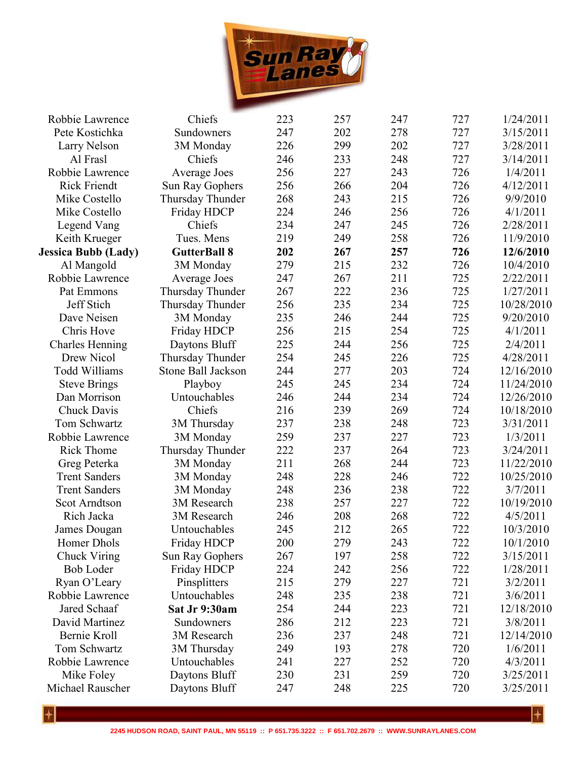

| Robbie Lawrence            | Chiefs              | 223 | 257 | 247 | 727 | 1/24/2011  |
|----------------------------|---------------------|-----|-----|-----|-----|------------|
| Pete Kostichka             | Sundowners          | 247 | 202 | 278 | 727 | 3/15/2011  |
| Larry Nelson               | 3M Monday           | 226 | 299 | 202 | 727 | 3/28/2011  |
| Al Frasl                   | Chiefs              | 246 | 233 | 248 | 727 | 3/14/2011  |
| Robbie Lawrence            | Average Joes        | 256 | 227 | 243 | 726 | 1/4/2011   |
| <b>Rick Friendt</b>        | Sun Ray Gophers     | 256 | 266 | 204 | 726 | 4/12/2011  |
| Mike Costello              | Thursday Thunder    | 268 | 243 | 215 | 726 | 9/9/2010   |
| Mike Costello              | Friday HDCP         | 224 | 246 | 256 | 726 | 4/1/2011   |
| Legend Vang                | Chiefs              | 234 | 247 | 245 | 726 | 2/28/2011  |
| Keith Krueger              | Tues. Mens          | 219 | 249 | 258 | 726 | 11/9/2010  |
| <b>Jessica Bubb (Lady)</b> | <b>GutterBall 8</b> | 202 | 267 | 257 | 726 | 12/6/2010  |
| Al Mangold                 | 3M Monday           | 279 | 215 | 232 | 726 | 10/4/2010  |
| Robbie Lawrence            | Average Joes        | 247 | 267 | 211 | 725 | 2/22/2011  |
| Pat Emmons                 | Thursday Thunder    | 267 | 222 | 236 | 725 | 1/27/2011  |
| Jeff Stich                 | Thursday Thunder    | 256 | 235 | 234 | 725 | 10/28/2010 |
| Dave Neisen                | 3M Monday           | 235 | 246 | 244 | 725 | 9/20/2010  |
| Chris Hove                 | Friday HDCP         | 256 | 215 | 254 | 725 | 4/1/2011   |
| <b>Charles Henning</b>     | Daytons Bluff       | 225 | 244 | 256 | 725 | 2/4/2011   |
| Drew Nicol                 | Thursday Thunder    | 254 | 245 | 226 | 725 | 4/28/2011  |
| <b>Todd Williams</b>       | Stone Ball Jackson  | 244 | 277 | 203 | 724 | 12/16/2010 |
| <b>Steve Brings</b>        | Playboy             | 245 | 245 | 234 | 724 | 11/24/2010 |
| Dan Morrison               | Untouchables        | 246 | 244 | 234 | 724 | 12/26/2010 |
| Chuck Davis                | Chiefs              | 216 | 239 | 269 | 724 | 10/18/2010 |
| Tom Schwartz               | 3M Thursday         | 237 | 238 | 248 | 723 | 3/31/2011  |
| Robbie Lawrence            | 3M Monday           | 259 | 237 | 227 | 723 | 1/3/2011   |
| <b>Rick Thome</b>          | Thursday Thunder    | 222 | 237 | 264 | 723 | 3/24/2011  |
| Greg Peterka               | 3M Monday           | 211 | 268 | 244 | 723 | 11/22/2010 |
| <b>Trent Sanders</b>       | 3M Monday           | 248 | 228 | 246 | 722 | 10/25/2010 |
| <b>Trent Sanders</b>       | 3M Monday           | 248 | 236 | 238 | 722 | 3/7/2011   |
| <b>Scot Arndtson</b>       | 3M Research         | 238 | 257 | 227 | 722 | 10/19/2010 |
| Rich Jacka                 | 3M Research         | 246 | 208 | 268 | 722 | 4/5/2011   |
| James Dougan               | Untouchables        | 245 | 212 | 265 | 722 | 10/3/2010  |
| Homer Dhols                | Friday HDCP         | 200 | 279 | 243 | 722 | 10/1/2010  |
| Chuck Viring               | Sun Ray Gophers     | 267 | 197 | 258 | 722 | 3/15/2011  |
| <b>Bob Loder</b>           | Friday HDCP         | 224 | 242 | 256 | 722 | 1/28/2011  |
| Ryan O'Leary               | Pinsplitters        | 215 | 279 | 227 | 721 | 3/2/2011   |
| Robbie Lawrence            | Untouchables        | 248 | 235 | 238 | 721 | 3/6/2011   |
| Jared Schaaf               | Sat Jr 9:30am       | 254 | 244 | 223 | 721 | 12/18/2010 |
| David Martinez             | Sundowners          | 286 | 212 | 223 | 721 | 3/8/2011   |
| Bernie Kroll               | 3M Research         | 236 | 237 | 248 | 721 | 12/14/2010 |
| Tom Schwartz               | 3M Thursday         | 249 | 193 | 278 | 720 | 1/6/2011   |
| Robbie Lawrence            | Untouchables        | 241 | 227 | 252 | 720 | 4/3/2011   |
| Mike Foley                 | Daytons Bluff       | 230 | 231 | 259 | 720 | 3/25/2011  |
| Michael Rauscher           | Daytons Bluff       | 247 | 248 | 225 | 720 | 3/25/2011  |
|                            |                     |     |     |     |     |            |

**2245 HUDSON ROAD, SAINT PAUL, MN 55119 :: P 651.735.3222 :: F 651.702.2679 :: WWW.SUNRAYLANES.COM**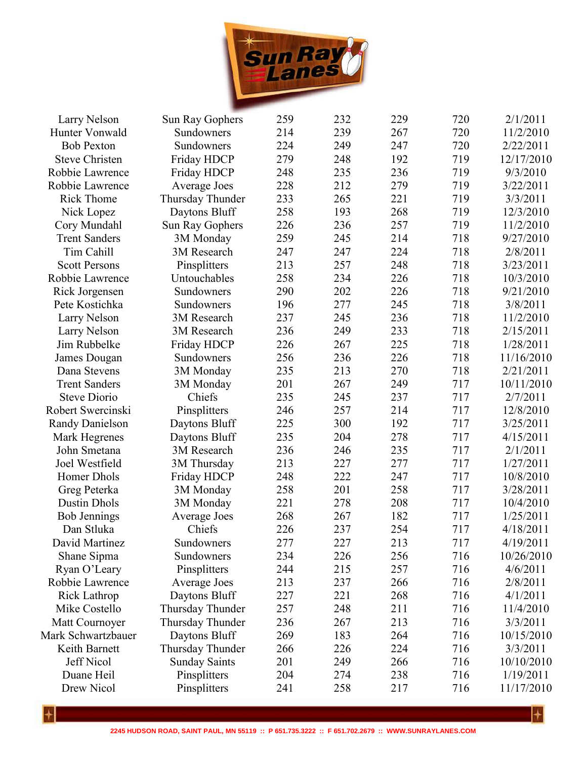

| Larry Nelson           | Sun Ray Gophers      | 259 | 232 | 229 | 720 | 2/1/2011   |
|------------------------|----------------------|-----|-----|-----|-----|------------|
| Hunter Vonwald         | Sundowners           | 214 | 239 | 267 | 720 | 11/2/2010  |
| <b>Bob Pexton</b>      | Sundowners           | 224 | 249 | 247 | 720 | 2/22/2011  |
| <b>Steve Christen</b>  | Friday HDCP          | 279 | 248 | 192 | 719 | 12/17/2010 |
| Robbie Lawrence        | Friday HDCP          | 248 | 235 | 236 | 719 | 9/3/2010   |
| Robbie Lawrence        | Average Joes         | 228 | 212 | 279 | 719 | 3/22/2011  |
| <b>Rick Thome</b>      | Thursday Thunder     | 233 | 265 | 221 | 719 | 3/3/2011   |
| Nick Lopez             | Daytons Bluff        | 258 | 193 | 268 | 719 | 12/3/2010  |
| Cory Mundahl           | Sun Ray Gophers      | 226 | 236 | 257 | 719 | 11/2/2010  |
| <b>Trent Sanders</b>   | 3M Monday            | 259 | 245 | 214 | 718 | 9/27/2010  |
| Tim Cahill             | 3M Research          | 247 | 247 | 224 | 718 | 2/8/2011   |
| <b>Scott Persons</b>   | Pinsplitters         | 213 | 257 | 248 | 718 | 3/23/2011  |
| Robbie Lawrence        | Untouchables         | 258 | 234 | 226 | 718 | 10/3/2010  |
| Rick Jorgensen         | Sundowners           | 290 | 202 | 226 | 718 | 9/21/2010  |
| Pete Kostichka         | Sundowners           | 196 | 277 | 245 | 718 | 3/8/2011   |
| Larry Nelson           | 3M Research          | 237 | 245 | 236 | 718 | 11/2/2010  |
| Larry Nelson           | 3M Research          | 236 | 249 | 233 | 718 | 2/15/2011  |
| Jim Rubbelke           | Friday HDCP          | 226 | 267 | 225 | 718 | 1/28/2011  |
| James Dougan           | Sundowners           | 256 | 236 | 226 | 718 | 11/16/2010 |
| Dana Stevens           | 3M Monday            | 235 | 213 | 270 | 718 | 2/21/2011  |
| <b>Trent Sanders</b>   | 3M Monday            | 201 | 267 | 249 | 717 | 10/11/2010 |
| <b>Steve Diorio</b>    | Chiefs               | 235 | 245 | 237 | 717 | 2/7/2011   |
| Robert Swercinski      | Pinsplitters         | 246 | 257 | 214 | 717 | 12/8/2010  |
| <b>Randy Danielson</b> | Daytons Bluff        | 225 | 300 | 192 | 717 | 3/25/2011  |
| Mark Hegrenes          | Daytons Bluff        | 235 | 204 | 278 | 717 | 4/15/2011  |
| John Smetana           | 3M Research          | 236 | 246 | 235 | 717 | 2/1/2011   |
| Joel Westfield         | 3M Thursday          | 213 | 227 | 277 | 717 | 1/27/2011  |
| Homer Dhols            | Friday HDCP          | 248 | 222 | 247 | 717 | 10/8/2010  |
| Greg Peterka           | 3M Monday            | 258 | 201 | 258 | 717 | 3/28/2011  |
| <b>Dustin Dhols</b>    | 3M Monday            | 221 | 278 | 208 | 717 | 10/4/2010  |
| <b>Bob Jennings</b>    | Average Joes         | 268 | 267 | 182 | 717 | 1/25/2011  |
| Dan Stluka             | Chiefs               | 226 | 237 | 254 | 717 | 4/18/2011  |
| David Martinez         | Sundowners           | 277 | 227 | 213 | 717 | 4/19/2011  |
| Shane Sipma            | Sundowners           | 234 | 226 | 256 | 716 | 10/26/2010 |
| Ryan O'Leary           | Pinsplitters         | 244 | 215 | 257 | 716 | 4/6/2011   |
| Robbie Lawrence        | <b>Average Joes</b>  | 213 | 237 | 266 | 716 | 2/8/2011   |
| Rick Lathrop           | Daytons Bluff        | 227 | 221 | 268 | 716 | 4/1/2011   |
| Mike Costello          | Thursday Thunder     | 257 | 248 | 211 | 716 | 11/4/2010  |
| Matt Cournoyer         | Thursday Thunder     | 236 | 267 | 213 | 716 | 3/3/2011   |
| Mark Schwartzbauer     | Daytons Bluff        | 269 | 183 | 264 | 716 | 10/15/2010 |
| Keith Barnett          | Thursday Thunder     | 266 | 226 | 224 | 716 | 3/3/2011   |
| Jeff Nicol             | <b>Sunday Saints</b> | 201 | 249 | 266 | 716 | 10/10/2010 |
| Duane Heil             | Pinsplitters         | 204 | 274 | 238 | 716 | 1/19/2011  |
| Drew Nicol             | Pinsplitters         | 241 | 258 | 217 | 716 | 11/17/2010 |
|                        |                      |     |     |     |     |            |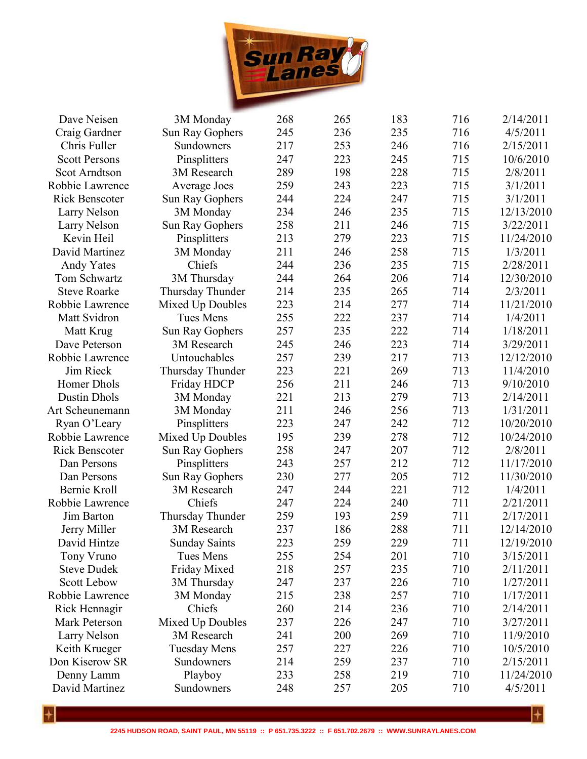

| Dave Neisen           | 3M Monday            | 268 | 265 | 183 | 716 | 2/14/2011  |
|-----------------------|----------------------|-----|-----|-----|-----|------------|
| Craig Gardner         | Sun Ray Gophers      | 245 | 236 | 235 | 716 | 4/5/2011   |
| Chris Fuller          | Sundowners           | 217 | 253 | 246 | 716 | 2/15/2011  |
| <b>Scott Persons</b>  | Pinsplitters         | 247 | 223 | 245 | 715 | 10/6/2010  |
| <b>Scot Arndtson</b>  | 3M Research          | 289 | 198 | 228 | 715 | 2/8/2011   |
| Robbie Lawrence       | Average Joes         | 259 | 243 | 223 | 715 | 3/1/2011   |
| <b>Rick Benscoter</b> | Sun Ray Gophers      | 244 | 224 | 247 | 715 | 3/1/2011   |
| Larry Nelson          | 3M Monday            | 234 | 246 | 235 | 715 | 12/13/2010 |
| Larry Nelson          | Sun Ray Gophers      | 258 | 211 | 246 | 715 | 3/22/2011  |
| Kevin Heil            | Pinsplitters         | 213 | 279 | 223 | 715 | 11/24/2010 |
| David Martinez        | 3M Monday            | 211 | 246 | 258 | 715 | 1/3/2011   |
| <b>Andy Yates</b>     | Chiefs               | 244 | 236 | 235 | 715 | 2/28/2011  |
| Tom Schwartz          | 3M Thursday          | 244 | 264 | 206 | 714 | 12/30/2010 |
| <b>Steve Roarke</b>   | Thursday Thunder     | 214 | 235 | 265 | 714 | 2/3/2011   |
| Robbie Lawrence       | Mixed Up Doubles     | 223 | 214 | 277 | 714 | 11/21/2010 |
| Matt Svidron          | Tues Mens            | 255 | 222 | 237 | 714 | 1/4/2011   |
| Matt Krug             | Sun Ray Gophers      | 257 | 235 | 222 | 714 | 1/18/2011  |
| Dave Peterson         | 3M Research          | 245 | 246 | 223 | 714 | 3/29/2011  |
| Robbie Lawrence       | Untouchables         | 257 | 239 | 217 | 713 | 12/12/2010 |
| Jim Rieck             | Thursday Thunder     | 223 | 221 | 269 | 713 | 11/4/2010  |
| Homer Dhols           | Friday HDCP          | 256 | 211 | 246 | 713 | 9/10/2010  |
| <b>Dustin Dhols</b>   | 3M Monday            | 221 | 213 | 279 | 713 | 2/14/2011  |
| Art Scheunemann       | 3M Monday            | 211 | 246 | 256 | 713 | 1/31/2011  |
| Ryan O'Leary          | Pinsplitters         | 223 | 247 | 242 | 712 | 10/20/2010 |
| Robbie Lawrence       | Mixed Up Doubles     | 195 | 239 | 278 | 712 | 10/24/2010 |
| <b>Rick Benscoter</b> | Sun Ray Gophers      | 258 | 247 | 207 | 712 | 2/8/2011   |
| Dan Persons           | Pinsplitters         | 243 | 257 | 212 | 712 | 11/17/2010 |
| Dan Persons           | Sun Ray Gophers      | 230 | 277 | 205 | 712 | 11/30/2010 |
| Bernie Kroll          | 3M Research          | 247 | 244 | 221 | 712 | 1/4/2011   |
| Robbie Lawrence       | Chiefs               | 247 | 224 | 240 | 711 | 2/21/2011  |
| Jim Barton            | Thursday Thunder     | 259 | 193 | 259 | 711 | 2/17/2011  |
| Jerry Miller          | 3M Research          | 237 | 186 | 288 | 711 | 12/14/2010 |
| David Hintze          | <b>Sunday Saints</b> | 223 | 259 | 229 | 711 | 12/19/2010 |
| Tony Vruno            | Tues Mens            | 255 | 254 | 201 | 710 | 3/15/2011  |
| <b>Steve Dudek</b>    | Friday Mixed         | 218 | 257 | 235 | 710 | 2/11/2011  |
| <b>Scott Lebow</b>    | 3M Thursday          | 247 | 237 | 226 | 710 | 1/27/2011  |
| Robbie Lawrence       | 3M Monday            | 215 | 238 | 257 | 710 | 1/17/2011  |
| Rick Hennagir         | Chiefs               | 260 | 214 | 236 | 710 | 2/14/2011  |
| Mark Peterson         | Mixed Up Doubles     | 237 | 226 | 247 | 710 | 3/27/2011  |
| Larry Nelson          | 3M Research          | 241 | 200 | 269 | 710 | 11/9/2010  |
| Keith Krueger         | <b>Tuesday Mens</b>  | 257 | 227 | 226 | 710 | 10/5/2010  |
| Don Kiserow SR        | Sundowners           | 214 | 259 | 237 | 710 | 2/15/2011  |
| Denny Lamm            | Playboy              | 233 | 258 | 219 | 710 | 11/24/2010 |
| David Martinez        | Sundowners           | 248 | 257 | 205 | 710 | 4/5/2011   |
|                       |                      |     |     |     |     |            |

 $\overline{\mathcal{L}}$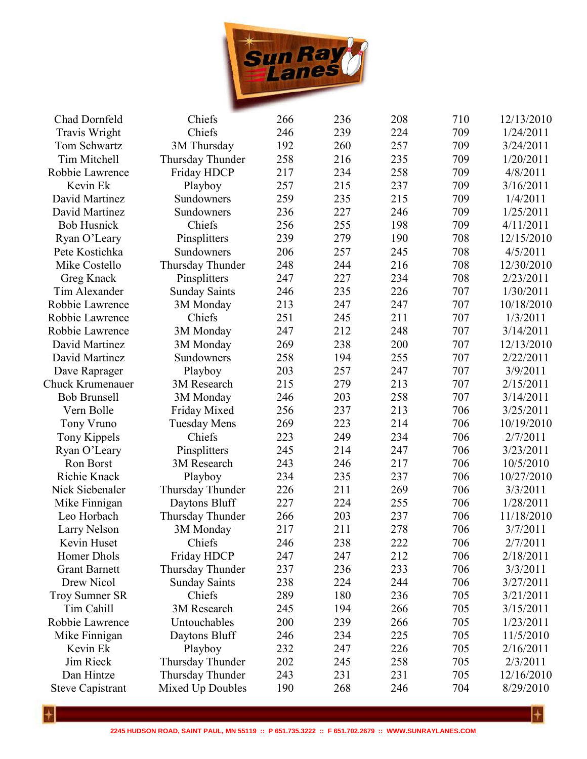

| Chad Dornfeld           | Chiefs               | 266 | 236 | 208 | 710 | 12/13/2010 |
|-------------------------|----------------------|-----|-----|-----|-----|------------|
| <b>Travis Wright</b>    | Chiefs               | 246 | 239 | 224 | 709 | 1/24/2011  |
| Tom Schwartz            | 3M Thursday          | 192 | 260 | 257 | 709 | 3/24/2011  |
| Tim Mitchell            | Thursday Thunder     | 258 | 216 | 235 | 709 | 1/20/2011  |
| Robbie Lawrence         | Friday HDCP          | 217 | 234 | 258 | 709 | 4/8/2011   |
| Kevin Ek                | Playboy              | 257 | 215 | 237 | 709 | 3/16/2011  |
| David Martinez          | Sundowners           | 259 | 235 | 215 | 709 | 1/4/2011   |
| David Martinez          | Sundowners           | 236 | 227 | 246 | 709 | 1/25/2011  |
| <b>Bob Husnick</b>      | Chiefs               | 256 | 255 | 198 | 709 | 4/11/2011  |
| Ryan O'Leary            | Pinsplitters         | 239 | 279 | 190 | 708 | 12/15/2010 |
| Pete Kostichka          | Sundowners           | 206 | 257 | 245 | 708 | 4/5/2011   |
| Mike Costello           | Thursday Thunder     | 248 | 244 | 216 | 708 | 12/30/2010 |
| Greg Knack              | Pinsplitters         | 247 | 227 | 234 | 708 | 2/23/2011  |
| Tim Alexander           | <b>Sunday Saints</b> | 246 | 235 | 226 | 707 | 1/30/2011  |
| Robbie Lawrence         | 3M Monday            | 213 | 247 | 247 | 707 | 10/18/2010 |
| Robbie Lawrence         | Chiefs               | 251 | 245 | 211 | 707 | 1/3/2011   |
| Robbie Lawrence         | 3M Monday            | 247 | 212 | 248 | 707 | 3/14/2011  |
| David Martinez          | 3M Monday            | 269 | 238 | 200 | 707 | 12/13/2010 |
| David Martinez          | Sundowners           | 258 | 194 | 255 | 707 | 2/22/2011  |
| Dave Raprager           | Playboy              | 203 | 257 | 247 | 707 | 3/9/2011   |
| Chuck Krumenauer        | 3M Research          | 215 | 279 | 213 | 707 | 2/15/2011  |
| <b>Bob Brunsell</b>     | 3M Monday            | 246 | 203 | 258 | 707 | 3/14/2011  |
| Vern Bolle              | Friday Mixed         | 256 | 237 | 213 | 706 | 3/25/2011  |
| Tony Vruno              | <b>Tuesday Mens</b>  | 269 | 223 | 214 | 706 | 10/19/2010 |
| <b>Tony Kippels</b>     | Chiefs               | 223 | 249 | 234 | 706 | 2/7/2011   |
| Ryan O'Leary            | Pinsplitters         | 245 | 214 | 247 | 706 | 3/23/2011  |
| Ron Borst               | 3M Research          | 243 | 246 | 217 | 706 | 10/5/2010  |
| Richie Knack            | Playboy              | 234 | 235 | 237 | 706 | 10/27/2010 |
| Nick Siebenaler         | Thursday Thunder     | 226 | 211 | 269 | 706 | 3/3/2011   |
| Mike Finnigan           | Daytons Bluff        | 227 | 224 | 255 | 706 | 1/28/2011  |
| Leo Horbach             | Thursday Thunder     | 266 | 203 | 237 | 706 | 11/18/2010 |
| Larry Nelson            | 3M Monday            | 217 | 211 | 278 | 706 | 3/7/2011   |
| Kevin Huset             | Chiefs               | 246 | 238 | 222 | 706 | 2/7/2011   |
| Homer Dhols             | Friday HDCP          | 247 | 247 | 212 | 706 | 2/18/2011  |
| <b>Grant Barnett</b>    | Thursday Thunder     | 237 | 236 | 233 | 706 | 3/3/2011   |
| Drew Nicol              | <b>Sunday Saints</b> | 238 | 224 | 244 | 706 | 3/27/2011  |
| <b>Troy Sumner SR</b>   | Chiefs               | 289 | 180 | 236 | 705 | 3/21/2011  |
| Tim Cahill              | 3M Research          | 245 | 194 | 266 | 705 | 3/15/2011  |
| Robbie Lawrence         | Untouchables         | 200 | 239 | 266 | 705 | 1/23/2011  |
| Mike Finnigan           | Daytons Bluff        | 246 | 234 | 225 | 705 | 11/5/2010  |
| Kevin Ek                | Playboy              | 232 | 247 | 226 | 705 | 2/16/2011  |
| Jim Rieck               | Thursday Thunder     | 202 | 245 | 258 | 705 | 2/3/2011   |
| Dan Hintze              | Thursday Thunder     | 243 | 231 | 231 | 705 | 12/16/2010 |
| <b>Steve Capistrant</b> | Mixed Up Doubles     | 190 | 268 | 246 | 704 | 8/29/2010  |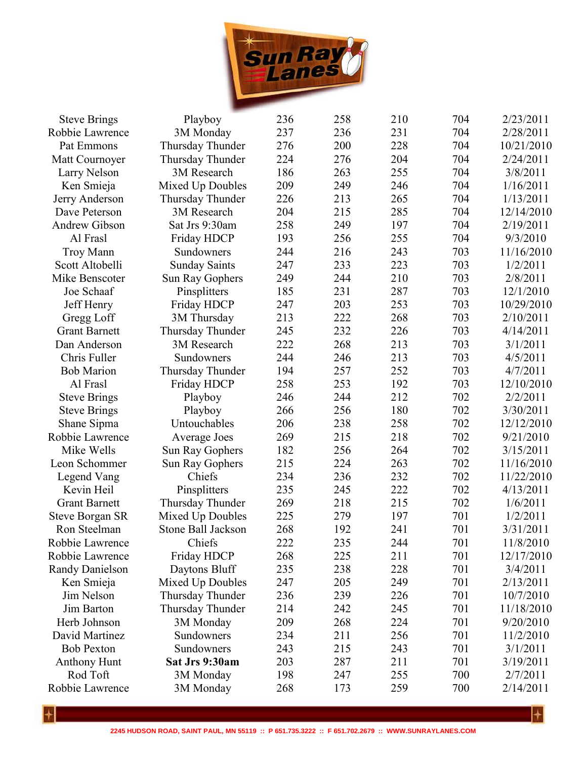

| 231<br>237<br>236<br>704<br>2/28/2011<br>Robbie Lawrence<br>3M Monday<br>200<br>Thursday Thunder<br>276<br>228<br>10/21/2010<br>Pat Emmons<br>704<br>224<br>Thursday Thunder<br>276<br>204<br>704<br>2/24/2011<br>Matt Cournoyer<br>186<br>263<br>255<br>704<br>Larry Nelson<br>3M Research<br>3/8/2011<br>209<br>249<br>246<br>704<br>1/16/2011<br>Ken Smieja<br>Mixed Up Doubles<br>226<br>213<br>265<br>704<br>1/13/2011<br>Thursday Thunder<br>Jerry Anderson<br>285<br>204<br>215<br>704<br>12/14/2010<br>Dave Peterson<br>3M Research<br>258<br>249<br>197<br>Andrew Gibson<br>Sat Jrs 9:30am<br>704<br>2/19/2011<br>193<br>256<br>255<br>9/3/2010<br>Al Frasl<br>Friday HDCP<br>704<br>216<br>243<br>703<br><b>Troy Mann</b><br>244<br>11/16/2010<br>Sundowners<br>Scott Altobelli<br>247<br>233<br>223<br>703<br>1/2/2011<br><b>Sunday Saints</b><br>249<br>244<br>703<br>Mike Benscoter<br>Sun Ray Gophers<br>210<br>2/8/2011<br>185<br>231<br>287<br>703<br>12/1/2010<br>Joe Schaaf<br>Pinsplitters<br>247<br>203<br>253<br>703<br>Jeff Henry<br>Friday HDCP<br>10/29/2010<br>222<br>213<br>268<br>703<br>2/10/2011<br>Gregg Loff<br>3M Thursday<br>232<br>245<br>703<br>4/14/2011<br><b>Grant Barnett</b><br>Thursday Thunder<br>226<br>268<br>222<br>213<br>703<br>Dan Anderson<br>3M Research<br>3/1/2011<br>Chris Fuller<br>244<br>246<br>703<br>4/5/2011<br>Sundowners<br>213<br>Thursday Thunder<br>194<br>257<br>252<br>703<br>4/7/2011<br><b>Bob Marion</b><br>258<br>253<br>192<br>703<br>Al Frasl<br>Friday HDCP<br>12/10/2010<br>244<br>212<br>246<br>702<br>2/2/2011<br><b>Steve Brings</b><br>Playboy<br>256<br>180<br>3/30/2011<br><b>Steve Brings</b><br>Playboy<br>266<br>702<br>Untouchables<br>206<br>238<br>258<br>702<br>12/12/2010<br>Shane Sipma<br>269<br>215<br>218<br>702<br>9/21/2010<br>Robbie Lawrence<br>Average Joes<br>Mike Wells<br>182<br>256<br>702<br>3/15/2011<br>Sun Ray Gophers<br>264<br>215<br>224<br>702<br>11/16/2010<br>Leon Schommer<br>Sun Ray Gophers<br>263<br>236<br>232<br>702<br>234<br>11/22/2010<br>Legend Vang<br>Chiefs<br>245<br>222<br>702<br>4/13/2011<br>Kevin Heil<br>Pinsplitters<br>235<br><b>Grant Barnett</b><br>269<br>218<br>215<br>702<br>1/6/2011<br>Thursday Thunder<br>225<br>701<br><b>Steve Borgan SR</b><br>Mixed Up Doubles<br>279<br>197<br>1/2/2011<br>268<br>Ron Steelman<br>Stone Ball Jackson<br>192<br>241<br>701<br>3/31/2011<br>Chiefs<br>222<br>235<br>701<br>Robbie Lawrence<br>244<br>11/8/2010<br>225<br>Friday HDCP<br>268<br>211<br>701<br>12/17/2010<br>Robbie Lawrence<br>238<br>228<br>235<br>701<br>3/4/2011<br><b>Randy Danielson</b><br>Daytons Bluff<br>205<br>Mixed Up Doubles<br>247<br>249<br>701<br>2/13/2011<br>Ken Smieja<br>239<br>Jim Nelson<br>Thursday Thunder<br>236<br>701<br>10/7/2010<br>226<br>214<br>242<br>245<br>701<br>Jim Barton<br>Thursday Thunder<br>11/18/2010<br>Herb Johnson<br>3M Monday<br>209<br>268<br>224<br>701<br>9/20/2010<br>David Martinez<br>Sundowners<br>234<br>211<br>256<br>701<br>11/2/2010<br>215<br>701<br>Sundowners<br>243<br>243<br><b>Bob Pexton</b><br>3/1/2011<br><b>Anthony Hunt</b><br>203<br>287<br>211<br>701<br>Sat Jrs 9:30am<br>3/19/2011<br>Rod Toft<br>198<br>247<br>700<br>3M Monday<br>255<br>2/7/2011<br>700<br>Robbie Lawrence<br>3M Monday<br>268<br>173<br>259<br>2/14/2011 | <b>Steve Brings</b> | Playboy | 236 | 258 | 210 | 704 | 2/23/2011 |
|------------------------------------------------------------------------------------------------------------------------------------------------------------------------------------------------------------------------------------------------------------------------------------------------------------------------------------------------------------------------------------------------------------------------------------------------------------------------------------------------------------------------------------------------------------------------------------------------------------------------------------------------------------------------------------------------------------------------------------------------------------------------------------------------------------------------------------------------------------------------------------------------------------------------------------------------------------------------------------------------------------------------------------------------------------------------------------------------------------------------------------------------------------------------------------------------------------------------------------------------------------------------------------------------------------------------------------------------------------------------------------------------------------------------------------------------------------------------------------------------------------------------------------------------------------------------------------------------------------------------------------------------------------------------------------------------------------------------------------------------------------------------------------------------------------------------------------------------------------------------------------------------------------------------------------------------------------------------------------------------------------------------------------------------------------------------------------------------------------------------------------------------------------------------------------------------------------------------------------------------------------------------------------------------------------------------------------------------------------------------------------------------------------------------------------------------------------------------------------------------------------------------------------------------------------------------------------------------------------------------------------------------------------------------------------------------------------------------------------------------------------------------------------------------------------------------------------------------------------------------------------------------------------------------------------------------------------------------------------------------------------------------------------------------------------------------------------------------------------------------------------------------------------------------------------------------------------------------------------------------------------------------------------------------------------------------------------------------------|---------------------|---------|-----|-----|-----|-----|-----------|
|                                                                                                                                                                                                                                                                                                                                                                                                                                                                                                                                                                                                                                                                                                                                                                                                                                                                                                                                                                                                                                                                                                                                                                                                                                                                                                                                                                                                                                                                                                                                                                                                                                                                                                                                                                                                                                                                                                                                                                                                                                                                                                                                                                                                                                                                                                                                                                                                                                                                                                                                                                                                                                                                                                                                                                                                                                                                                                                                                                                                                                                                                                                                                                                                                                                                                                                                                      |                     |         |     |     |     |     |           |
|                                                                                                                                                                                                                                                                                                                                                                                                                                                                                                                                                                                                                                                                                                                                                                                                                                                                                                                                                                                                                                                                                                                                                                                                                                                                                                                                                                                                                                                                                                                                                                                                                                                                                                                                                                                                                                                                                                                                                                                                                                                                                                                                                                                                                                                                                                                                                                                                                                                                                                                                                                                                                                                                                                                                                                                                                                                                                                                                                                                                                                                                                                                                                                                                                                                                                                                                                      |                     |         |     |     |     |     |           |
|                                                                                                                                                                                                                                                                                                                                                                                                                                                                                                                                                                                                                                                                                                                                                                                                                                                                                                                                                                                                                                                                                                                                                                                                                                                                                                                                                                                                                                                                                                                                                                                                                                                                                                                                                                                                                                                                                                                                                                                                                                                                                                                                                                                                                                                                                                                                                                                                                                                                                                                                                                                                                                                                                                                                                                                                                                                                                                                                                                                                                                                                                                                                                                                                                                                                                                                                                      |                     |         |     |     |     |     |           |
|                                                                                                                                                                                                                                                                                                                                                                                                                                                                                                                                                                                                                                                                                                                                                                                                                                                                                                                                                                                                                                                                                                                                                                                                                                                                                                                                                                                                                                                                                                                                                                                                                                                                                                                                                                                                                                                                                                                                                                                                                                                                                                                                                                                                                                                                                                                                                                                                                                                                                                                                                                                                                                                                                                                                                                                                                                                                                                                                                                                                                                                                                                                                                                                                                                                                                                                                                      |                     |         |     |     |     |     |           |
|                                                                                                                                                                                                                                                                                                                                                                                                                                                                                                                                                                                                                                                                                                                                                                                                                                                                                                                                                                                                                                                                                                                                                                                                                                                                                                                                                                                                                                                                                                                                                                                                                                                                                                                                                                                                                                                                                                                                                                                                                                                                                                                                                                                                                                                                                                                                                                                                                                                                                                                                                                                                                                                                                                                                                                                                                                                                                                                                                                                                                                                                                                                                                                                                                                                                                                                                                      |                     |         |     |     |     |     |           |
|                                                                                                                                                                                                                                                                                                                                                                                                                                                                                                                                                                                                                                                                                                                                                                                                                                                                                                                                                                                                                                                                                                                                                                                                                                                                                                                                                                                                                                                                                                                                                                                                                                                                                                                                                                                                                                                                                                                                                                                                                                                                                                                                                                                                                                                                                                                                                                                                                                                                                                                                                                                                                                                                                                                                                                                                                                                                                                                                                                                                                                                                                                                                                                                                                                                                                                                                                      |                     |         |     |     |     |     |           |
|                                                                                                                                                                                                                                                                                                                                                                                                                                                                                                                                                                                                                                                                                                                                                                                                                                                                                                                                                                                                                                                                                                                                                                                                                                                                                                                                                                                                                                                                                                                                                                                                                                                                                                                                                                                                                                                                                                                                                                                                                                                                                                                                                                                                                                                                                                                                                                                                                                                                                                                                                                                                                                                                                                                                                                                                                                                                                                                                                                                                                                                                                                                                                                                                                                                                                                                                                      |                     |         |     |     |     |     |           |
|                                                                                                                                                                                                                                                                                                                                                                                                                                                                                                                                                                                                                                                                                                                                                                                                                                                                                                                                                                                                                                                                                                                                                                                                                                                                                                                                                                                                                                                                                                                                                                                                                                                                                                                                                                                                                                                                                                                                                                                                                                                                                                                                                                                                                                                                                                                                                                                                                                                                                                                                                                                                                                                                                                                                                                                                                                                                                                                                                                                                                                                                                                                                                                                                                                                                                                                                                      |                     |         |     |     |     |     |           |
|                                                                                                                                                                                                                                                                                                                                                                                                                                                                                                                                                                                                                                                                                                                                                                                                                                                                                                                                                                                                                                                                                                                                                                                                                                                                                                                                                                                                                                                                                                                                                                                                                                                                                                                                                                                                                                                                                                                                                                                                                                                                                                                                                                                                                                                                                                                                                                                                                                                                                                                                                                                                                                                                                                                                                                                                                                                                                                                                                                                                                                                                                                                                                                                                                                                                                                                                                      |                     |         |     |     |     |     |           |
|                                                                                                                                                                                                                                                                                                                                                                                                                                                                                                                                                                                                                                                                                                                                                                                                                                                                                                                                                                                                                                                                                                                                                                                                                                                                                                                                                                                                                                                                                                                                                                                                                                                                                                                                                                                                                                                                                                                                                                                                                                                                                                                                                                                                                                                                                                                                                                                                                                                                                                                                                                                                                                                                                                                                                                                                                                                                                                                                                                                                                                                                                                                                                                                                                                                                                                                                                      |                     |         |     |     |     |     |           |
|                                                                                                                                                                                                                                                                                                                                                                                                                                                                                                                                                                                                                                                                                                                                                                                                                                                                                                                                                                                                                                                                                                                                                                                                                                                                                                                                                                                                                                                                                                                                                                                                                                                                                                                                                                                                                                                                                                                                                                                                                                                                                                                                                                                                                                                                                                                                                                                                                                                                                                                                                                                                                                                                                                                                                                                                                                                                                                                                                                                                                                                                                                                                                                                                                                                                                                                                                      |                     |         |     |     |     |     |           |
|                                                                                                                                                                                                                                                                                                                                                                                                                                                                                                                                                                                                                                                                                                                                                                                                                                                                                                                                                                                                                                                                                                                                                                                                                                                                                                                                                                                                                                                                                                                                                                                                                                                                                                                                                                                                                                                                                                                                                                                                                                                                                                                                                                                                                                                                                                                                                                                                                                                                                                                                                                                                                                                                                                                                                                                                                                                                                                                                                                                                                                                                                                                                                                                                                                                                                                                                                      |                     |         |     |     |     |     |           |
|                                                                                                                                                                                                                                                                                                                                                                                                                                                                                                                                                                                                                                                                                                                                                                                                                                                                                                                                                                                                                                                                                                                                                                                                                                                                                                                                                                                                                                                                                                                                                                                                                                                                                                                                                                                                                                                                                                                                                                                                                                                                                                                                                                                                                                                                                                                                                                                                                                                                                                                                                                                                                                                                                                                                                                                                                                                                                                                                                                                                                                                                                                                                                                                                                                                                                                                                                      |                     |         |     |     |     |     |           |
|                                                                                                                                                                                                                                                                                                                                                                                                                                                                                                                                                                                                                                                                                                                                                                                                                                                                                                                                                                                                                                                                                                                                                                                                                                                                                                                                                                                                                                                                                                                                                                                                                                                                                                                                                                                                                                                                                                                                                                                                                                                                                                                                                                                                                                                                                                                                                                                                                                                                                                                                                                                                                                                                                                                                                                                                                                                                                                                                                                                                                                                                                                                                                                                                                                                                                                                                                      |                     |         |     |     |     |     |           |
|                                                                                                                                                                                                                                                                                                                                                                                                                                                                                                                                                                                                                                                                                                                                                                                                                                                                                                                                                                                                                                                                                                                                                                                                                                                                                                                                                                                                                                                                                                                                                                                                                                                                                                                                                                                                                                                                                                                                                                                                                                                                                                                                                                                                                                                                                                                                                                                                                                                                                                                                                                                                                                                                                                                                                                                                                                                                                                                                                                                                                                                                                                                                                                                                                                                                                                                                                      |                     |         |     |     |     |     |           |
|                                                                                                                                                                                                                                                                                                                                                                                                                                                                                                                                                                                                                                                                                                                                                                                                                                                                                                                                                                                                                                                                                                                                                                                                                                                                                                                                                                                                                                                                                                                                                                                                                                                                                                                                                                                                                                                                                                                                                                                                                                                                                                                                                                                                                                                                                                                                                                                                                                                                                                                                                                                                                                                                                                                                                                                                                                                                                                                                                                                                                                                                                                                                                                                                                                                                                                                                                      |                     |         |     |     |     |     |           |
|                                                                                                                                                                                                                                                                                                                                                                                                                                                                                                                                                                                                                                                                                                                                                                                                                                                                                                                                                                                                                                                                                                                                                                                                                                                                                                                                                                                                                                                                                                                                                                                                                                                                                                                                                                                                                                                                                                                                                                                                                                                                                                                                                                                                                                                                                                                                                                                                                                                                                                                                                                                                                                                                                                                                                                                                                                                                                                                                                                                                                                                                                                                                                                                                                                                                                                                                                      |                     |         |     |     |     |     |           |
|                                                                                                                                                                                                                                                                                                                                                                                                                                                                                                                                                                                                                                                                                                                                                                                                                                                                                                                                                                                                                                                                                                                                                                                                                                                                                                                                                                                                                                                                                                                                                                                                                                                                                                                                                                                                                                                                                                                                                                                                                                                                                                                                                                                                                                                                                                                                                                                                                                                                                                                                                                                                                                                                                                                                                                                                                                                                                                                                                                                                                                                                                                                                                                                                                                                                                                                                                      |                     |         |     |     |     |     |           |
|                                                                                                                                                                                                                                                                                                                                                                                                                                                                                                                                                                                                                                                                                                                                                                                                                                                                                                                                                                                                                                                                                                                                                                                                                                                                                                                                                                                                                                                                                                                                                                                                                                                                                                                                                                                                                                                                                                                                                                                                                                                                                                                                                                                                                                                                                                                                                                                                                                                                                                                                                                                                                                                                                                                                                                                                                                                                                                                                                                                                                                                                                                                                                                                                                                                                                                                                                      |                     |         |     |     |     |     |           |
|                                                                                                                                                                                                                                                                                                                                                                                                                                                                                                                                                                                                                                                                                                                                                                                                                                                                                                                                                                                                                                                                                                                                                                                                                                                                                                                                                                                                                                                                                                                                                                                                                                                                                                                                                                                                                                                                                                                                                                                                                                                                                                                                                                                                                                                                                                                                                                                                                                                                                                                                                                                                                                                                                                                                                                                                                                                                                                                                                                                                                                                                                                                                                                                                                                                                                                                                                      |                     |         |     |     |     |     |           |
|                                                                                                                                                                                                                                                                                                                                                                                                                                                                                                                                                                                                                                                                                                                                                                                                                                                                                                                                                                                                                                                                                                                                                                                                                                                                                                                                                                                                                                                                                                                                                                                                                                                                                                                                                                                                                                                                                                                                                                                                                                                                                                                                                                                                                                                                                                                                                                                                                                                                                                                                                                                                                                                                                                                                                                                                                                                                                                                                                                                                                                                                                                                                                                                                                                                                                                                                                      |                     |         |     |     |     |     |           |
|                                                                                                                                                                                                                                                                                                                                                                                                                                                                                                                                                                                                                                                                                                                                                                                                                                                                                                                                                                                                                                                                                                                                                                                                                                                                                                                                                                                                                                                                                                                                                                                                                                                                                                                                                                                                                                                                                                                                                                                                                                                                                                                                                                                                                                                                                                                                                                                                                                                                                                                                                                                                                                                                                                                                                                                                                                                                                                                                                                                                                                                                                                                                                                                                                                                                                                                                                      |                     |         |     |     |     |     |           |
|                                                                                                                                                                                                                                                                                                                                                                                                                                                                                                                                                                                                                                                                                                                                                                                                                                                                                                                                                                                                                                                                                                                                                                                                                                                                                                                                                                                                                                                                                                                                                                                                                                                                                                                                                                                                                                                                                                                                                                                                                                                                                                                                                                                                                                                                                                                                                                                                                                                                                                                                                                                                                                                                                                                                                                                                                                                                                                                                                                                                                                                                                                                                                                                                                                                                                                                                                      |                     |         |     |     |     |     |           |
|                                                                                                                                                                                                                                                                                                                                                                                                                                                                                                                                                                                                                                                                                                                                                                                                                                                                                                                                                                                                                                                                                                                                                                                                                                                                                                                                                                                                                                                                                                                                                                                                                                                                                                                                                                                                                                                                                                                                                                                                                                                                                                                                                                                                                                                                                                                                                                                                                                                                                                                                                                                                                                                                                                                                                                                                                                                                                                                                                                                                                                                                                                                                                                                                                                                                                                                                                      |                     |         |     |     |     |     |           |
|                                                                                                                                                                                                                                                                                                                                                                                                                                                                                                                                                                                                                                                                                                                                                                                                                                                                                                                                                                                                                                                                                                                                                                                                                                                                                                                                                                                                                                                                                                                                                                                                                                                                                                                                                                                                                                                                                                                                                                                                                                                                                                                                                                                                                                                                                                                                                                                                                                                                                                                                                                                                                                                                                                                                                                                                                                                                                                                                                                                                                                                                                                                                                                                                                                                                                                                                                      |                     |         |     |     |     |     |           |
|                                                                                                                                                                                                                                                                                                                                                                                                                                                                                                                                                                                                                                                                                                                                                                                                                                                                                                                                                                                                                                                                                                                                                                                                                                                                                                                                                                                                                                                                                                                                                                                                                                                                                                                                                                                                                                                                                                                                                                                                                                                                                                                                                                                                                                                                                                                                                                                                                                                                                                                                                                                                                                                                                                                                                                                                                                                                                                                                                                                                                                                                                                                                                                                                                                                                                                                                                      |                     |         |     |     |     |     |           |
|                                                                                                                                                                                                                                                                                                                                                                                                                                                                                                                                                                                                                                                                                                                                                                                                                                                                                                                                                                                                                                                                                                                                                                                                                                                                                                                                                                                                                                                                                                                                                                                                                                                                                                                                                                                                                                                                                                                                                                                                                                                                                                                                                                                                                                                                                                                                                                                                                                                                                                                                                                                                                                                                                                                                                                                                                                                                                                                                                                                                                                                                                                                                                                                                                                                                                                                                                      |                     |         |     |     |     |     |           |
|                                                                                                                                                                                                                                                                                                                                                                                                                                                                                                                                                                                                                                                                                                                                                                                                                                                                                                                                                                                                                                                                                                                                                                                                                                                                                                                                                                                                                                                                                                                                                                                                                                                                                                                                                                                                                                                                                                                                                                                                                                                                                                                                                                                                                                                                                                                                                                                                                                                                                                                                                                                                                                                                                                                                                                                                                                                                                                                                                                                                                                                                                                                                                                                                                                                                                                                                                      |                     |         |     |     |     |     |           |
|                                                                                                                                                                                                                                                                                                                                                                                                                                                                                                                                                                                                                                                                                                                                                                                                                                                                                                                                                                                                                                                                                                                                                                                                                                                                                                                                                                                                                                                                                                                                                                                                                                                                                                                                                                                                                                                                                                                                                                                                                                                                                                                                                                                                                                                                                                                                                                                                                                                                                                                                                                                                                                                                                                                                                                                                                                                                                                                                                                                                                                                                                                                                                                                                                                                                                                                                                      |                     |         |     |     |     |     |           |
|                                                                                                                                                                                                                                                                                                                                                                                                                                                                                                                                                                                                                                                                                                                                                                                                                                                                                                                                                                                                                                                                                                                                                                                                                                                                                                                                                                                                                                                                                                                                                                                                                                                                                                                                                                                                                                                                                                                                                                                                                                                                                                                                                                                                                                                                                                                                                                                                                                                                                                                                                                                                                                                                                                                                                                                                                                                                                                                                                                                                                                                                                                                                                                                                                                                                                                                                                      |                     |         |     |     |     |     |           |
|                                                                                                                                                                                                                                                                                                                                                                                                                                                                                                                                                                                                                                                                                                                                                                                                                                                                                                                                                                                                                                                                                                                                                                                                                                                                                                                                                                                                                                                                                                                                                                                                                                                                                                                                                                                                                                                                                                                                                                                                                                                                                                                                                                                                                                                                                                                                                                                                                                                                                                                                                                                                                                                                                                                                                                                                                                                                                                                                                                                                                                                                                                                                                                                                                                                                                                                                                      |                     |         |     |     |     |     |           |
|                                                                                                                                                                                                                                                                                                                                                                                                                                                                                                                                                                                                                                                                                                                                                                                                                                                                                                                                                                                                                                                                                                                                                                                                                                                                                                                                                                                                                                                                                                                                                                                                                                                                                                                                                                                                                                                                                                                                                                                                                                                                                                                                                                                                                                                                                                                                                                                                                                                                                                                                                                                                                                                                                                                                                                                                                                                                                                                                                                                                                                                                                                                                                                                                                                                                                                                                                      |                     |         |     |     |     |     |           |
|                                                                                                                                                                                                                                                                                                                                                                                                                                                                                                                                                                                                                                                                                                                                                                                                                                                                                                                                                                                                                                                                                                                                                                                                                                                                                                                                                                                                                                                                                                                                                                                                                                                                                                                                                                                                                                                                                                                                                                                                                                                                                                                                                                                                                                                                                                                                                                                                                                                                                                                                                                                                                                                                                                                                                                                                                                                                                                                                                                                                                                                                                                                                                                                                                                                                                                                                                      |                     |         |     |     |     |     |           |
|                                                                                                                                                                                                                                                                                                                                                                                                                                                                                                                                                                                                                                                                                                                                                                                                                                                                                                                                                                                                                                                                                                                                                                                                                                                                                                                                                                                                                                                                                                                                                                                                                                                                                                                                                                                                                                                                                                                                                                                                                                                                                                                                                                                                                                                                                                                                                                                                                                                                                                                                                                                                                                                                                                                                                                                                                                                                                                                                                                                                                                                                                                                                                                                                                                                                                                                                                      |                     |         |     |     |     |     |           |
|                                                                                                                                                                                                                                                                                                                                                                                                                                                                                                                                                                                                                                                                                                                                                                                                                                                                                                                                                                                                                                                                                                                                                                                                                                                                                                                                                                                                                                                                                                                                                                                                                                                                                                                                                                                                                                                                                                                                                                                                                                                                                                                                                                                                                                                                                                                                                                                                                                                                                                                                                                                                                                                                                                                                                                                                                                                                                                                                                                                                                                                                                                                                                                                                                                                                                                                                                      |                     |         |     |     |     |     |           |
|                                                                                                                                                                                                                                                                                                                                                                                                                                                                                                                                                                                                                                                                                                                                                                                                                                                                                                                                                                                                                                                                                                                                                                                                                                                                                                                                                                                                                                                                                                                                                                                                                                                                                                                                                                                                                                                                                                                                                                                                                                                                                                                                                                                                                                                                                                                                                                                                                                                                                                                                                                                                                                                                                                                                                                                                                                                                                                                                                                                                                                                                                                                                                                                                                                                                                                                                                      |                     |         |     |     |     |     |           |
|                                                                                                                                                                                                                                                                                                                                                                                                                                                                                                                                                                                                                                                                                                                                                                                                                                                                                                                                                                                                                                                                                                                                                                                                                                                                                                                                                                                                                                                                                                                                                                                                                                                                                                                                                                                                                                                                                                                                                                                                                                                                                                                                                                                                                                                                                                                                                                                                                                                                                                                                                                                                                                                                                                                                                                                                                                                                                                                                                                                                                                                                                                                                                                                                                                                                                                                                                      |                     |         |     |     |     |     |           |
|                                                                                                                                                                                                                                                                                                                                                                                                                                                                                                                                                                                                                                                                                                                                                                                                                                                                                                                                                                                                                                                                                                                                                                                                                                                                                                                                                                                                                                                                                                                                                                                                                                                                                                                                                                                                                                                                                                                                                                                                                                                                                                                                                                                                                                                                                                                                                                                                                                                                                                                                                                                                                                                                                                                                                                                                                                                                                                                                                                                                                                                                                                                                                                                                                                                                                                                                                      |                     |         |     |     |     |     |           |
|                                                                                                                                                                                                                                                                                                                                                                                                                                                                                                                                                                                                                                                                                                                                                                                                                                                                                                                                                                                                                                                                                                                                                                                                                                                                                                                                                                                                                                                                                                                                                                                                                                                                                                                                                                                                                                                                                                                                                                                                                                                                                                                                                                                                                                                                                                                                                                                                                                                                                                                                                                                                                                                                                                                                                                                                                                                                                                                                                                                                                                                                                                                                                                                                                                                                                                                                                      |                     |         |     |     |     |     |           |
|                                                                                                                                                                                                                                                                                                                                                                                                                                                                                                                                                                                                                                                                                                                                                                                                                                                                                                                                                                                                                                                                                                                                                                                                                                                                                                                                                                                                                                                                                                                                                                                                                                                                                                                                                                                                                                                                                                                                                                                                                                                                                                                                                                                                                                                                                                                                                                                                                                                                                                                                                                                                                                                                                                                                                                                                                                                                                                                                                                                                                                                                                                                                                                                                                                                                                                                                                      |                     |         |     |     |     |     |           |
|                                                                                                                                                                                                                                                                                                                                                                                                                                                                                                                                                                                                                                                                                                                                                                                                                                                                                                                                                                                                                                                                                                                                                                                                                                                                                                                                                                                                                                                                                                                                                                                                                                                                                                                                                                                                                                                                                                                                                                                                                                                                                                                                                                                                                                                                                                                                                                                                                                                                                                                                                                                                                                                                                                                                                                                                                                                                                                                                                                                                                                                                                                                                                                                                                                                                                                                                                      |                     |         |     |     |     |     |           |
|                                                                                                                                                                                                                                                                                                                                                                                                                                                                                                                                                                                                                                                                                                                                                                                                                                                                                                                                                                                                                                                                                                                                                                                                                                                                                                                                                                                                                                                                                                                                                                                                                                                                                                                                                                                                                                                                                                                                                                                                                                                                                                                                                                                                                                                                                                                                                                                                                                                                                                                                                                                                                                                                                                                                                                                                                                                                                                                                                                                                                                                                                                                                                                                                                                                                                                                                                      |                     |         |     |     |     |     |           |
|                                                                                                                                                                                                                                                                                                                                                                                                                                                                                                                                                                                                                                                                                                                                                                                                                                                                                                                                                                                                                                                                                                                                                                                                                                                                                                                                                                                                                                                                                                                                                                                                                                                                                                                                                                                                                                                                                                                                                                                                                                                                                                                                                                                                                                                                                                                                                                                                                                                                                                                                                                                                                                                                                                                                                                                                                                                                                                                                                                                                                                                                                                                                                                                                                                                                                                                                                      |                     |         |     |     |     |     |           |

 $\overline{+}$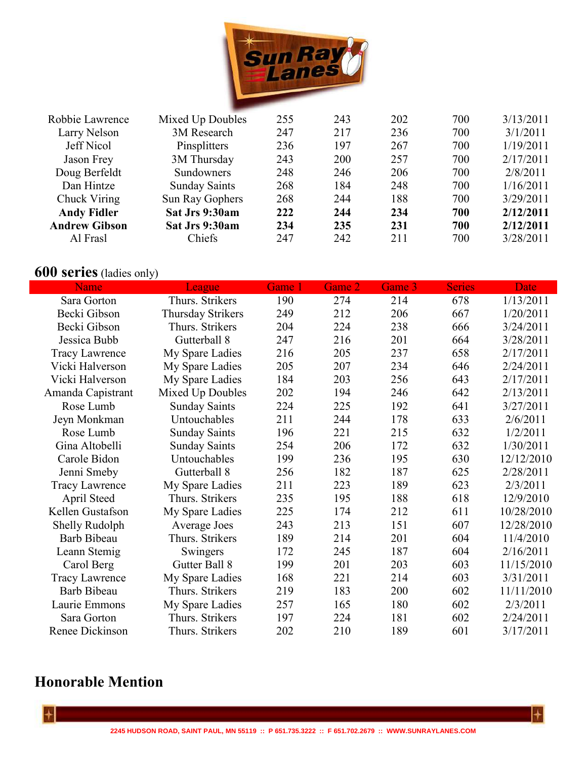

| Robbie Lawrence      | Mixed Up Doubles     | 255 | 243 | 202 | 700 | 3/13/2011 |
|----------------------|----------------------|-----|-----|-----|-----|-----------|
|                      |                      |     |     |     |     |           |
| Larry Nelson         | 3M Research          | 247 | 217 | 236 | 700 | 3/1/2011  |
| Jeff Nicol           | Pinsplitters         | 236 | 197 | 267 | 700 | 1/19/2011 |
| Jason Frey           | 3M Thursday          | 243 | 200 | 257 | 700 | 2/17/2011 |
| Doug Berfeldt        | Sundowners           | 248 | 246 | 206 | 700 | 2/8/2011  |
| Dan Hintze           | <b>Sunday Saints</b> | 268 | 184 | 248 | 700 | 1/16/2011 |
| Chuck Viring         | Sun Ray Gophers      | 268 | 244 | 188 | 700 | 3/29/2011 |
| <b>Andy Fidler</b>   | Sat Jrs 9:30am       | 222 | 244 | 234 | 700 | 2/12/2011 |
| <b>Andrew Gibson</b> | Sat Jrs 9:30am       | 234 | 235 | 231 | 700 | 2/12/2011 |
| Al Frasl             | Chiefs               | 247 | 242 | 211 | 700 | 3/28/2011 |
|                      |                      |     |     |     |     |           |

## **600 series** (ladies only)

| Name                  | League               | Game 1 | Game 2 | Game 3 | <b>Series</b> | <b>Date</b> |
|-----------------------|----------------------|--------|--------|--------|---------------|-------------|
| Sara Gorton           | Thurs. Strikers      | 190    | 274    | 214    | 678           | 1/13/2011   |
| Becki Gibson          | Thursday Strikers    | 249    | 212    | 206    | 667           | 1/20/2011   |
| Becki Gibson          | Thurs. Strikers      | 204    | 224    | 238    | 666           | 3/24/2011   |
| Jessica Bubb          | Gutterball 8         | 247    | 216    | 201    | 664           | 3/28/2011   |
| <b>Tracy Lawrence</b> | My Spare Ladies      | 216    | 205    | 237    | 658           | 2/17/2011   |
| Vicki Halverson       | My Spare Ladies      | 205    | 207    | 234    | 646           | 2/24/2011   |
| Vicki Halverson       | My Spare Ladies      | 184    | 203    | 256    | 643           | 2/17/2011   |
| Amanda Capistrant     | Mixed Up Doubles     | 202    | 194    | 246    | 642           | 2/13/2011   |
| Rose Lumb             | <b>Sunday Saints</b> | 224    | 225    | 192    | 641           | 3/27/2011   |
| Jeyn Monkman          | Untouchables         | 211    | 244    | 178    | 633           | 2/6/2011    |
| Rose Lumb             | <b>Sunday Saints</b> | 196    | 221    | 215    | 632           | 1/2/2011    |
| Gina Altobelli        | <b>Sunday Saints</b> | 254    | 206    | 172    | 632           | 1/30/2011   |
| Carole Bidon          | Untouchables         | 199    | 236    | 195    | 630           | 12/12/2010  |
| Jenni Smeby           | Gutterball 8         | 256    | 182    | 187    | 625           | 2/28/2011   |
| <b>Tracy Lawrence</b> | My Spare Ladies      | 211    | 223    | 189    | 623           | 2/3/2011    |
| April Steed           | Thurs. Strikers      | 235    | 195    | 188    | 618           | 12/9/2010   |
| Kellen Gustafson      | My Spare Ladies      | 225    | 174    | 212    | 611           | 10/28/2010  |
| Shelly Rudolph        | Average Joes         | 243    | 213    | 151    | 607           | 12/28/2010  |
| Barb Bibeau           | Thurs. Strikers      | 189    | 214    | 201    | 604           | 11/4/2010   |
| Leann Stemig          | Swingers             | 172    | 245    | 187    | 604           | 2/16/2011   |
| Carol Berg            | Gutter Ball 8        | 199    | 201    | 203    | 603           | 11/15/2010  |
| <b>Tracy Lawrence</b> | My Spare Ladies      | 168    | 221    | 214    | 603           | 3/31/2011   |
| <b>Barb Bibeau</b>    | Thurs. Strikers      | 219    | 183    | 200    | 602           | 11/11/2010  |
| Laurie Emmons         | My Spare Ladies      | 257    | 165    | 180    | 602           | 2/3/2011    |
| Sara Gorton           | Thurs. Strikers      | 197    | 224    | 181    | 602           | 2/24/2011   |
| Renee Dickinson       | Thurs. Strikers      | 202    | 210    | 189    | 601           | 3/17/2011   |

## **Honorable Mention**

 $\left| + \right|$